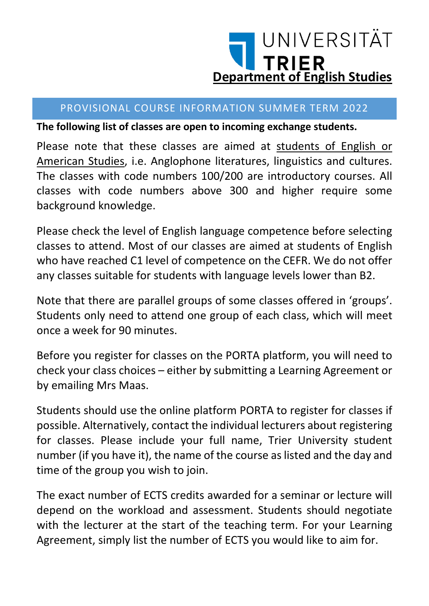

#### PROVISIONAL COURSE INFORMATION SUMMER TERM 2022

**The following list of classes are open to incoming exchange students.** 

Please note that these classes are aimed at students of English or American Studies, i.e. Anglophone literatures, linguistics and cultures. The classes with code numbers 100/200 are introductory courses. All classes with code numbers above 300 and higher require some background knowledge.

Please check the level of English language competence before selecting classes to attend. Most of our classes are aimed at students of English who have reached C1 level of competence on the CEFR. We do not offer any classes suitable for students with language levels lower than B2.

Note that there are parallel groups of some classes offered in 'groups'. Students only need to attend one group of each class, which will meet once a week for 90 minutes.

Before you register for classes on the PORTA platform, you will need to check your class choices – either by submitting a Learning Agreement or by emailing Mrs Maas.

Students should use the online platform PORTA to register for classes if possible. Alternatively, contact the individual lecturers about registering for classes. Please include your full name, Trier University student number (if you have it), the name of the course as listed and the day and time of the group you wish to join.

The exact number of ECTS credits awarded for a seminar or lecture will depend on the workload and assessment. Students should negotiate with the lecturer at the start of the teaching term. For your Learning Agreement, simply list the number of ECTS you would like to aim for.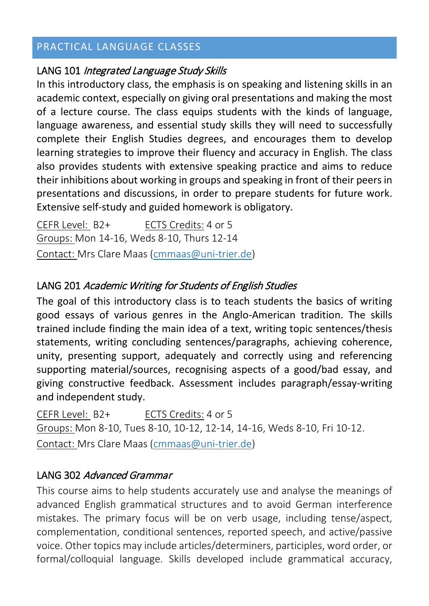# PRACTICAL LANGUAGE CLASSES

#### LANG 101 Integrated Language Study Skills

In this introductory class, the emphasis is on speaking and listening skills in an academic context, especially on giving oral presentations and making the most of a lecture course. The class equips students with the kinds of language, language awareness, and essential study skills they will need to successfully complete their English Studies degrees, and encourages them to develop learning strategies to improve their fluency and accuracy in English. The class also provides students with extensive speaking practice and aims to reduce their inhibitions about working in groups and speaking in front of their peers in presentations and discussions, in order to prepare students for future work. Extensive self-study and guided homework is obligatory.

CEFR Level: B2+ ECTS Credits: 4 or 5 Groups: Mon 14-16, Weds 8-10, Thurs 12-14 Contact: Mrs Clare Maas [\(cmmaas@uni-trier.de\)](mailto:cmmaas@uni-trier.de)

# LANG 201 Academic Writing for Students of English Studies

The goal of this introductory class is to teach students the basics of writing good essays of various genres in the Anglo-American tradition. The skills trained include finding the main idea of a text, writing topic sentences/thesis statements, writing concluding sentences/paragraphs, achieving coherence, unity, presenting support, adequately and correctly using and referencing supporting material/sources, recognising aspects of a good/bad essay, and giving constructive feedback. Assessment includes paragraph/essay-writing and independent study.

CEFR Level: B2+ ECTS Credits: 4 or 5 Groups: Mon 8-10, Tues 8-10, 10-12, 12-14, 14-16, Weds 8-10, Fri 10-12. Contact: Mrs Clare Maas [\(cmmaas@uni-trier.de\)](mailto:cmmaas@uni-trier.de)

#### LANG 302 Advanced Grammar

This course aims to help students accurately use and analyse the meanings of advanced English grammatical structures and to avoid German interference mistakes. The primary focus will be on verb usage, including tense/aspect, complementation, conditional sentences, reported speech, and active/passive voice. Other topics may include articles/determiners, participles, word order, or formal/colloquial language. Skills developed include grammatical accuracy,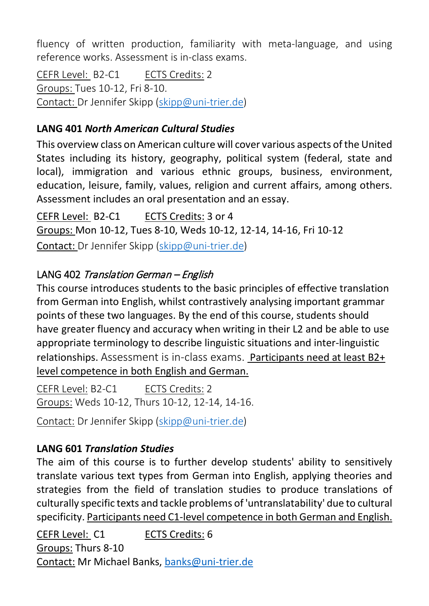fluency of written production, familiarity with meta-language, and using reference works. Assessment is in-class exams.

CEFR Level: B2-C1 ECTS Credits: 2 Groups: Tues 10-12, Fri 8-10. Contact: Dr Jennifer Skipp [\(skipp@uni-trier.de\)](mailto:skipp@uni-trier.de)

# **LANG 401** *North American Cultural Studies*

This overview class on American culture will cover various aspects of the United States including its history, geography, political system (federal, state and local), immigration and various ethnic groups, business, environment, education, leisure, family, values, religion and current affairs, among others. Assessment includes an oral presentation and an essay.

CEFR Level: B2-C1 ECTS Credits: 3 or 4 Groups: Mon 10-12, Tues 8-10, Weds 10-12, 12-14, 14-16, Fri 10-12 Contact: Dr Jennifer Skipp [\(skipp@uni-trier.de\)](mailto:skipp@uni-trier.de)

# LANG 402 Translation German – English

This course introduces students to the basic principles of effective translation from German into English, whilst contrastively analysing important grammar points of these two languages. By the end of this course, students should have greater fluency and accuracy when writing in their L2 and be able to use appropriate terminology to describe linguistic situations and inter-linguistic relationships. Assessment is in-class exams. Participants need at least B2+ level competence in both English and German.

CEFR Level: B2-C1 ECTS Credits: 2 Groups: Weds 10-12, Thurs 10-12, 12-14, 14-16.

Contact: Dr Jennifer Skipp [\(skipp@uni-trier.de\)](mailto:skipp@uni-trier.de)

# **LANG 601** *Translation Studies*

The aim of this course is to further develop students' ability to sensitively translate various text types from German into English, applying theories and strategies from the field of translation studies to produce translations of culturally specific texts and tackle problems of 'untranslatability' due to cultural specificity. Participants need C1-level competence in both German and English.

CEFR Level: C1 ECTS Credits: 6 Groups: Thurs 8-10 Contact: Mr Michael Banks[, banks@uni-trier.de](mailto:banks@uni-trier.de)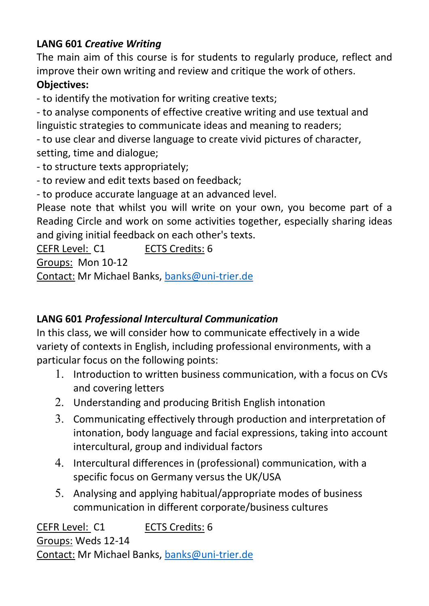# **LANG 601** *Creative Writing*

The main aim of this course is for students to regularly produce, reflect and improve their own writing and review and critique the work of others.

### **Objectives:**

- to identify the motivation for writing creative texts;

- to analyse components of effective creative writing and use textual and linguistic strategies to communicate ideas and meaning to readers;

- to use clear and diverse language to create vivid pictures of character, setting, time and dialogue;

- to structure texts appropriately;
- to review and edit texts based on feedback;

- to produce accurate language at an advanced level.

Please note that whilst you will write on your own, you become part of a Reading Circle and work on some activities together, especially sharing ideas and giving initial feedback on each other's texts.

CEFR Level: C1 ECTS Credits: 6

Groups: Mon 10-12

Contact: Mr Michael Banks[, banks@uni-trier.de](mailto:banks@uni-trier.de)

# **LANG 601** *Professional Intercultural Communication*

In this class, we will consider how to communicate effectively in a wide variety of contexts in English, including professional environments, with a particular focus on the following points:

- 1. Introduction to written business communication, with a focus on CVs and covering letters
- 2. Understanding and producing British English intonation
- 3. Communicating effectively through production and interpretation of intonation, body language and facial expressions, taking into account intercultural, group and individual factors
- 4. Intercultural differences in (professional) communication, with a specific focus on Germany versus the UK/USA
- 5. Analysing and applying habitual/appropriate modes of business communication in different corporate/business cultures

CEFR Level: C1 ECTS Credits: 6 Groups: Weds 12-14 Contact: Mr Michael Banks[, banks@uni-trier.de](mailto:banks@uni-trier.de)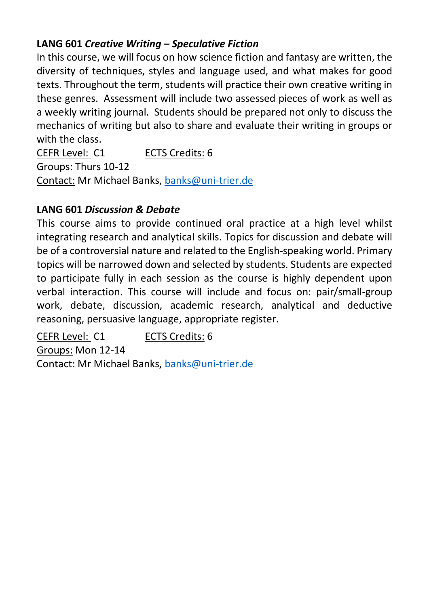# **LANG 601** *Creative Writing – Speculative Fiction*

In this course, we will focus on how science fiction and fantasy are written, the diversity of techniques, styles and language used, and what makes for good texts. Throughout the term, students will practice their own creative writing in these genres. Assessment will include two assessed pieces of work as well as a weekly writing journal. Students should be prepared not only to discuss the mechanics of writing but also to share and evaluate their writing in groups or with the class.

CEFR Level: C1 ECTS Credits: 6 Groups: Thurs 10-12 Contact: Mr Michael Banks[, banks@uni-trier.de](mailto:banks@uni-trier.de)

# **LANG 601** *Discussion & Debate*

This course aims to provide continued oral practice at a high level whilst integrating research and analytical skills. Topics for discussion and debate will be of a controversial nature and related to the English-speaking world. Primary topics will be narrowed down and selected by students. Students are expected to participate fully in each session as the course is highly dependent upon verbal interaction. This course will include and focus on: pair/small-group work, debate, discussion, academic research, analytical and deductive reasoning, persuasive language, appropriate register.

CEFR Level: C1 ECTS Credits: 6 Groups: Mon 12-14 Contact: Mr Michael Banks[, banks@uni-trier.de](mailto:banks@uni-trier.de)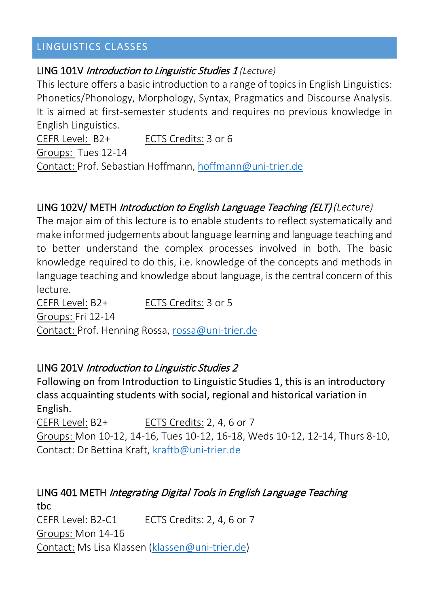# LINGUISTICS CLASSES

#### LING 101V Introduction to Linguistic Studies 1 *(Lecture)*

This lecture offers a basic introduction to a range of topics in English Linguistics: Phonetics/Phonology, Morphology, Syntax, Pragmatics and Discourse Analysis. It is aimed at first-semester students and requires no previous knowledge in English Linguistics.

CEFR Level: B2+ ECTS Credits: 3 or 6 Groups: Tues 12-14 Contact: Prof. Sebastian Hoffmann, [hoffmann@uni-trier.de](mailto:hoffmann@uni-trier.de)

# LING 102V/ METH Introduction to English Language Teaching (ELT) *(Lecture)*

The major aim of this lecture is to enable students to reflect systematically and make informed judgements about language learning and language teaching and to better understand the complex processes involved in both. The basic knowledge required to do this, i.e. knowledge of the concepts and methods in language teaching and knowledge about language, is the central concern of this lecture.

CEFR Level: B2+ ECTS Credits: 3 or 5 Groups: Fri 12-14 Contact: Prof. Henning Rossa, [rossa@uni-trier.de](mailto:rossa@uni-trier.de)

#### LING 201V Introduction to Linguistic Studies 2

Following on from Introduction to Linguistic Studies 1, this is an introductory class acquainting students with social, regional and historical variation in English.

CEFR Level: B2+ ECTS Credits: 2, 4, 6 or 7 Groups: Mon 10-12, 14-16, Tues 10-12, 16-18, Weds 10-12, 12-14, Thurs 8-10, Contact: Dr Bettina Kraft[, kraftb@uni-trier.de](mailto:kraftb@uni-trier.de)

# LING 401 METH Integrating Digital Tools in English Language Teaching tbc CEFR Level: B2-C1 ECTS Credits: 2, 4, 6 or 7 Groups: Mon 14-16

Contact: Ms Lisa Klassen [\(klassen@uni-trier.de\)](mailto:klassen@uni-trier.de)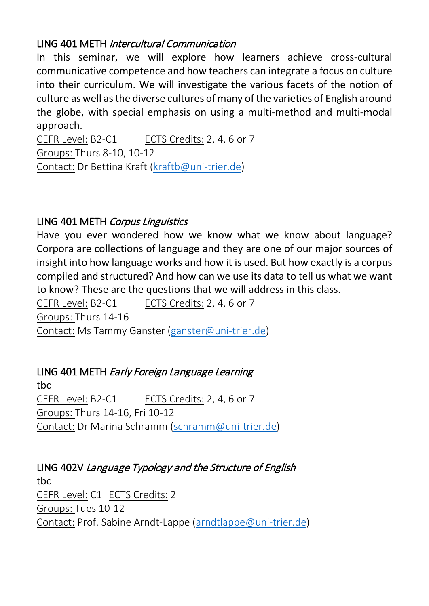# LING 401 METH Intercultural Communication

In this seminar, we will explore how learners achieve cross-cultural communicative competence and how teachers can integrate a focus on culture into their curriculum. We will investigate the various facets of the notion of culture as well as the diverse cultures of many of the varieties of English around the globe, with special emphasis on using a multi-method and multi-modal approach.

CEFR Level: B2-C1 ECTS Credits: 2, 4, 6 or 7 Groups: Thurs 8-10, 10-12 Contact: Dr Bettina Kraft [\(kraftb@uni-trier.de\)](mailto:kraftb@uni-trier.de)

# LING 401 METH Corpus Linguistics

Have you ever wondered how we know what we know about language? Corpora are collections of language and they are one of our major sources of insight into how language works and how it is used. But how exactly is a corpus compiled and structured? And how can we use its data to tell us what we want to know? These are the questions that we will address in this class.

CEFR Level: B2-C1 ECTS Credits: 2, 4, 6 or 7 Groups: Thurs 14-16 Contact: Ms Tammy Ganster [\(ganster@uni-trier.de\)](mailto:ganster@uni-trier.de)

# LING 401 METH Early Foreign Language Learning

tbc CEFR Level: B2-C1 ECTS Credits: 2, 4, 6 or 7 Groups: Thurs 14-16, Fri 10-12 Contact: Dr Marina Schramm [\(schramm@uni-trier.de\)](mailto:schramm@uni-trier.de)

LING 402V Language Typology and the Structure of English tbc CEFR Level: C1 ECTS Credits: 2 Groups: Tues 10-12 Contact: Prof. Sabine Arndt-Lappe [\(arndtlappe@uni-trier.de\)](mailto:arndtlappe@uni-trier.de)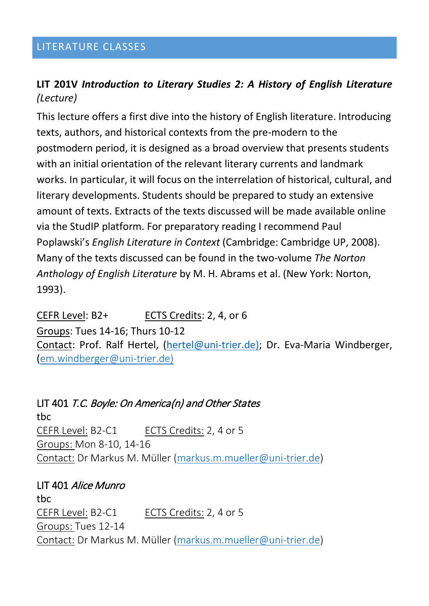### LITERATURE CLASSES

# **LIT 201V** *Introduction to Literary Studies 2: A History of English Literature (Lecture)*

This lecture offers a first dive into the history of English literature. Introducing texts, authors, and historical contexts from the pre-modern to the postmodern period, it is designed as a broad overview that presents students with an initial orientation of the relevant literary currents and landmark works. In particular, it will focus on the interrelation of historical, cultural, and literary developments. Students should be prepared to study an extensive amount of texts. Extracts of the texts discussed will be made available online via the StudIP platform. For preparatory reading I recommend Paul Poplawski's *English Literature in Context* (Cambridge: Cambridge UP, 2008). Many of the texts discussed can be found in the two-volume *The Norton Anthology of English Literature* by M. H. Abrams et al. (New York: Norton, 1993).

CEFR Level: B2+ ECTS Credits: 2, 4, or 6

Groups: Tues 14-16; Thurs 10-12

Contact: Prof. Ralf Hertel, [\(hertel@uni-trier.de\)](mailto:hertel@uni-trier.de); Dr. Eva-Maria Windberger, ([em.windberger@uni-trier.de\)](mailto:em.windberger@uni-trier.de)

# LIT 401 T.C. Boyle: On America(n) and Other States

tbc CEFR Level: B2-C1 ECTS Credits: 2, 4 or 5 Groups: Mon 8-10, 14-16 Contact: Dr Markus M. Müller [\(markus.m.mueller@uni-trier.de\)](mailto:markus.m.mueller@uni-trier.de)

LIT 401 Alice Munro tbc CEFR Level: B2-C1 ECTS Credits: 2, 4 or 5 Groups: Tues 12-14 Contact: Dr Markus M. Müller [\(markus.m.mueller@uni-trier.de\)](mailto:markus.m.mueller@uni-trier.de)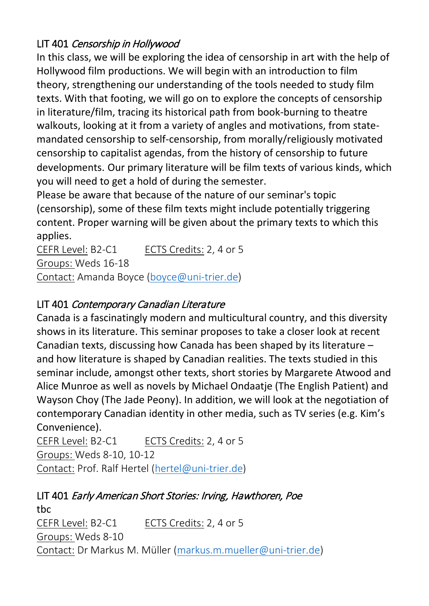# LIT 401 Censorship in Hollywood

In this class, we will be exploring the idea of censorship in art with the help of Hollywood film productions. We will begin with an introduction to film theory, strengthening our understanding of the tools needed to study film texts. With that footing, we will go on to explore the concepts of censorship in literature/film, tracing its historical path from book-burning to theatre walkouts, looking at it from a variety of angles and motivations, from statemandated censorship to self-censorship, from morally/religiously motivated censorship to capitalist agendas, from the history of censorship to future developments. Our primary literature will be film texts of various kinds, which you will need to get a hold of during the semester.

Please be aware that because of the nature of our seminar's topic (censorship), some of these film texts might include potentially triggering content. Proper warning will be given about the primary texts to which this applies.

CEFR Level: B2-C1 ECTS Credits: 2, 4 or 5 Groups: Weds 16-18 Contact: Amanda Boyce [\(boyce@uni-trier.de\)](mailto:boyce@uni-trier.de)

# LIT 401 Contemporary Canadian Literature

Canada is a fascinatingly modern and multicultural country, and this diversity shows in its literature. This seminar proposes to take a closer look at recent Canadian texts, discussing how Canada has been shaped by its literature – and how literature is shaped by Canadian realities. The texts studied in this seminar include, amongst other texts, short stories by Margarete Atwood and Alice Munroe as well as novels by Michael Ondaatje (The English Patient) and Wayson Choy (The Jade Peony). In addition, we will look at the negotiation of contemporary Canadian identity in other media, such as TV series (e.g. Kim's Convenience).

CEFR Level: B2-C1 ECTS Credits: 2, 4 or 5 Groups: Weds 8-10, 10-12 Contact: Prof. Ralf Hertel [\(hertel@uni-trier.de\)](mailto:hertel@uni-trier.de)

#### LIT 401 Early American Short Stories: Irving, Hawthoren, Poe tbc

CEFR Level: B2-C1 ECTS Credits: 2, 4 or 5 Groups: Weds 8-10 Contact: Dr Markus M. Müller [\(markus.m.mueller@uni-trier.de\)](mailto:markus.m.mueller@uni-trier.de)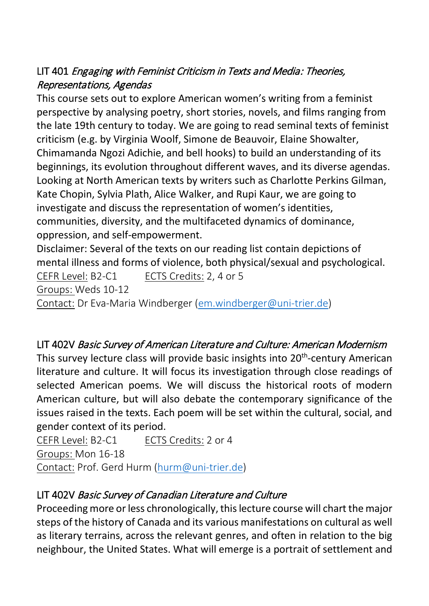# LIT 401 Engaging with Feminist Criticism in Texts and Media: Theories, Representations, Agendas

This course sets out to explore American women's writing from a feminist perspective by analysing poetry, short stories, novels, and films ranging from the late 19th century to today. We are going to read seminal texts of feminist criticism (e.g. by Virginia Woolf, Simone de Beauvoir, Elaine Showalter, Chimamanda Ngozi Adichie, and bell hooks) to build an understanding of its beginnings, its evolution throughout different waves, and its diverse agendas. Looking at North American texts by writers such as Charlotte Perkins Gilman, Kate Chopin, Sylvia Plath, Alice Walker, and Rupi Kaur, we are going to investigate and discuss the representation of women's identities, communities, diversity, and the multifaceted dynamics of dominance, oppression, and self-empowerment.

Disclaimer: Several of the texts on our reading list contain depictions of mental illness and forms of violence, both physical/sexual and psychological. CEFR Level: B2-C1 ECTS Credits: 2, 4 or 5 Groups: Weds 10-12 Contact: Dr Eva-Maria Windberger [\(em.windberger@uni-trier.de\)](mailto:em.windberger@uni-trier.de)

# LIT 402V Basic Survey of American Literature and Culture: American Modernism

This survey lecture class will provide basic insights into  $20<sup>th</sup>$ -century American literature and culture. It will focus its investigation through close readings of selected American poems. We will discuss the historical roots of modern American culture, but will also debate the contemporary significance of the issues raised in the texts. Each poem will be set within the cultural, social, and gender context of its period.

CEFR Level: B2-C1 ECTS Credits: 2 or 4 Groups: Mon 16-18 Contact: Prof. Gerd Hurm [\(hurm@uni-trier.de\)](mailto:hurm@uni-trier.de)

# LIT 402V Basic Survey of Canadian Literature and Culture

Proceeding more or less chronologically, this lecture course will chart the major steps of the history of Canada and its various manifestations on cultural as well as literary terrains, across the relevant genres, and often in relation to the big neighbour, the United States. What will emerge is a portrait of settlement and